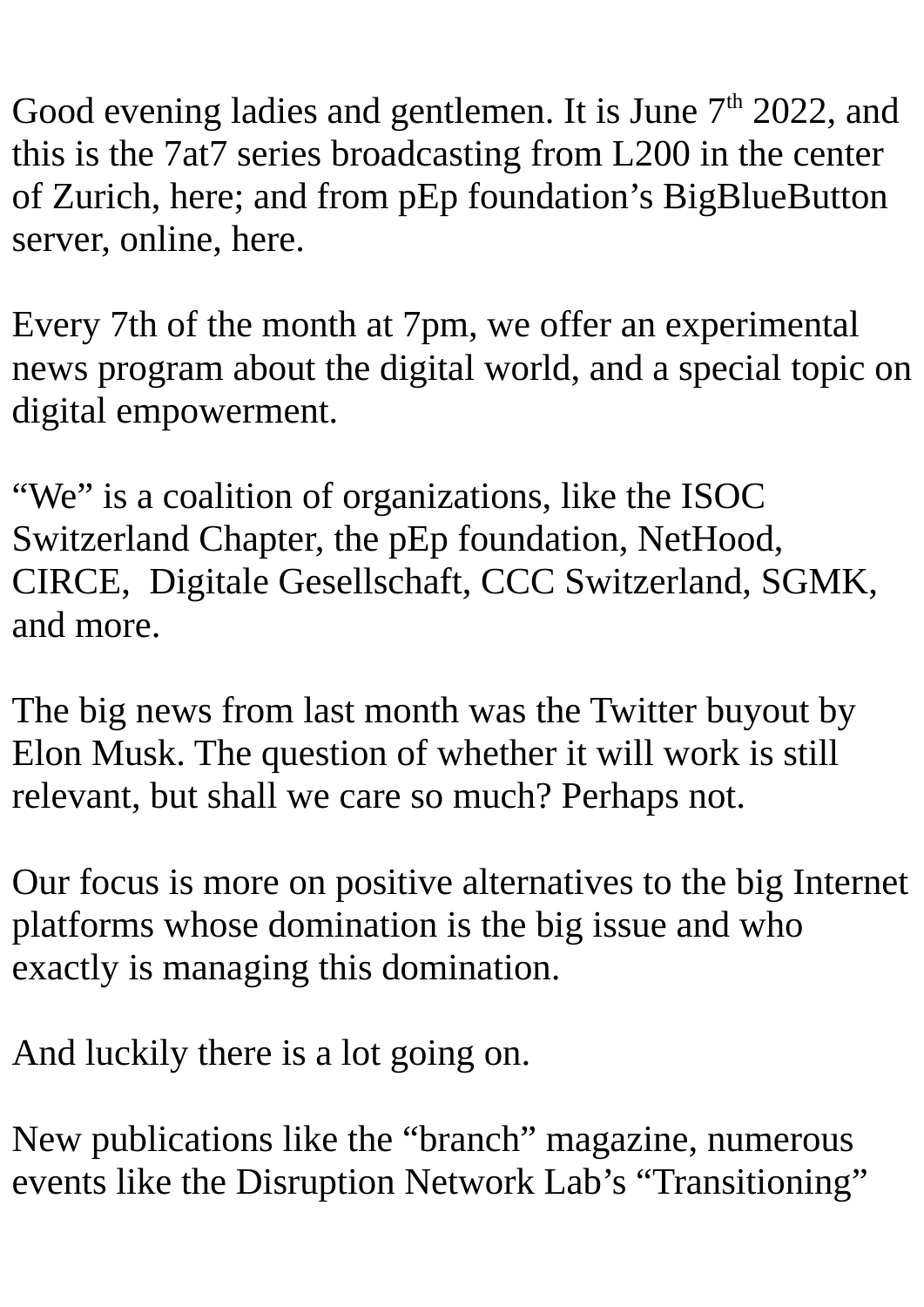Good evening ladies and gentlemen. It is June  $7<sup>th</sup>$  2022, and this is the 7at7 series broadcasting from L200 in the center of Zurich, here; and from pEp foundation's BigBlueButton server, online, here.

Every 7th of the month at 7pm, we offer an experimental news program about the digital world, and a special topic on digital empowerment.

"We" is a coalition of organizations, like the ISOC Switzerland Chapter, the pEp foundation, NetHood, CIRCE, Digitale Gesellschaft, CCC Switzerland, SGMK, and more.

The big news from last month was the Twitter buyout by Elon Musk. The question of whether it will work is still relevant, but shall we care so much? Perhaps not.

Our focus is more on positive alternatives to the big Internet platforms whose domination is the big issue and who exactly is managing this domination.

And luckily there is a lot going on.

New publications like the "branch" magazine, numerous events like the Disruption Network Lab's "Transitioning"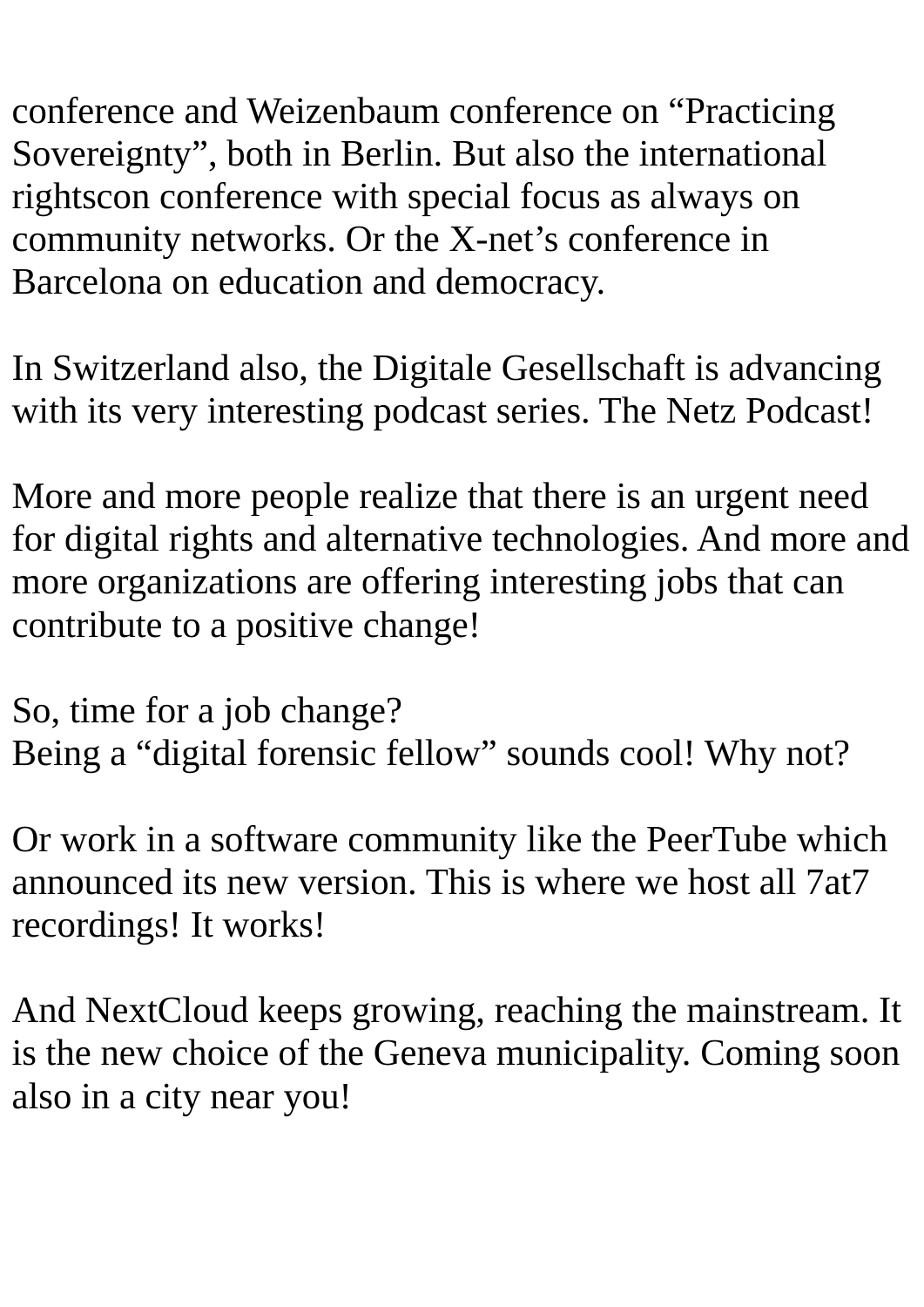conference and Weizenbaum conference on "Practicing Sovereignty", both in Berlin. But also the international rightscon conference with special focus as always on community networks. Or the X-net's conference in Barcelona on education and democracy.

In Switzerland also, the Digitale Gesellschaft is advancing with its very interesting podcast series. The Netz Podcast!

More and more people realize that there is an urgent need for digital rights and alternative technologies. And more and more organizations are offering interesting jobs that can contribute to a positive change!

So, time for a job change? Being a "digital forensic fellow" sounds cool! Why not?

Or work in a software community like the PeerTube which announced its new version. This is where we host all 7at7 recordings! It works!

And NextCloud keeps growing, reaching the mainstream. It is the new choice of the Geneva municipality. Coming soon also in a city near you!